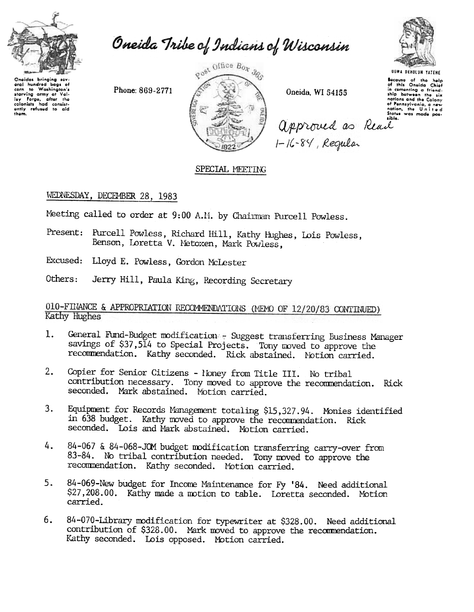

Oneida Tribe of Indians of Wisconsin

Phone: 869-2771



Oneida, WI 54155



Secause of the help<br>of this Oneida Chief<br>in cementing a friend-<br>ship between the six nations and the Colony nations and the Laiony<br>of Pennsylvania, a new<br>nation, the United<br>States was made posapproved as Read

SPECIAL MEETING

## WEDNESDAY, DECEMBER 28, 1983

Meeting called to order at 9:00 A.M. by Chairman Purcell Powless.

Present: Purcell Powless, Richard Hill, Kathy Hughes, Lois Powless, Benson, Loretta V. Metoxen, Mark Powless.

Excused: Lloyd E. Powless, Gordon McLester

Others: Jerry Hill, Paula King, Recording Secretary

010-FINANCE & APPROPRIATION RECOMMENDATIONS (MEMO OF 12/20/83 CONTINUED) Kathy Hughes

- $1.$ General Fund-Budget modification - Suggest transferring Business Manager savings of \$37,514 to Special Projects. Tony moved to approve the recommendation. Kathy seconded. Rick abstained. Notion carried.
- $2.$ Copier for Senior Citizens - Noney from Title III. No tribal contribution necessary. Tony moved to approve the recommendation. Rick seconded. Mark abstained. Motion carried.
- $3.$ Equipment for Records Management totaling \$15,327.94. Monies identified in 638 budget. Kathy moved to approve the recommendation. Rick seconded. Lois and Mark abstained. Motion carried.
- 4. 84-067 & 84-068-JOM budget modification transferring carry-over from 83-84. No tribal contribution needed. Tony moved to approve the recommendation. Kathy seconded. Motion carried.
- $5.$ 84-069-New budget for Income Maintenance for Fy '84. Need additional \$27,208.00. Kathy made a motion to table. Loretta seconded. Motion carried.
- 6. 84-070-Library modification for typewriter at \$328.00. Need additional contribution of \$328.00. Mark moved to approve the recommendation. Kathy seconded. Lois opposed. Motion carried.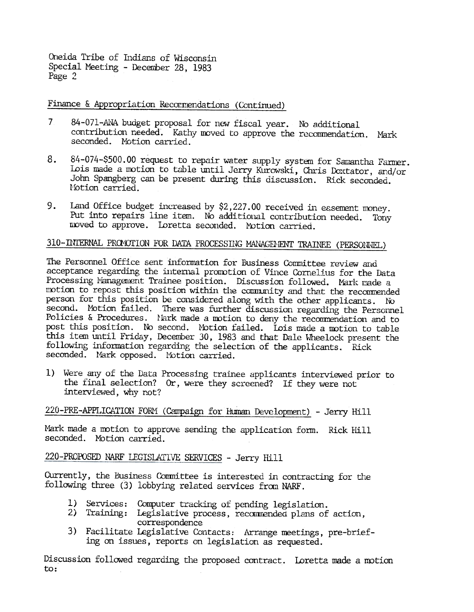Oneida Tribe of Indians of Wisconsin Special Meeting - December 28, 1983 Page 2

## Finance & Appropriation Recommendations (Continued)

- $7<sub>1</sub>$ 84-071-ANA budget proposal for new fiscal year. No additional contribution needed. Kathy moved to approve the recommendation. Mark seconded. Motion carried.
- 84-074-\$500.00 request to repair water supply system for Samantha Farmer. 8. Lois made a motion to table until Jerry Kurowski, Chris Doxtator, and/or John Spangberg can be present during this discussion. Rick seconded. Motion carried.
- Land Office budget increased by \$2,227.00 received in easement money. 9. Put into repairs line item. No additional contribution needed. Tony moved to approve. Loretta seconded. Motion carried.

## 310-INTERNAL PROMOTION FOR DATA PROCESSING MANAGEMENT TRAINEE (PERSONNEL)

The Personnel Office sent information for Business Committee review and acceptance regarding the internal promotion of Vince Cornelius for the Data Processing Management Trainee position. Discussion followed. Mark made a motion to repost this position within the community and that the recommended person for this position be considered along with the other applicants. No second. Notion failed. There was further discussion regarding the Personnel Policies & Procedures. Nark made a motion to deny the recommendation and to post this position. No second. Motion failed. Lois made a motion to table this item until Friday, December 30, 1983 and that Dale Wheelock present the following information regarding the selection of the applicants. Rick seconded. Mark opposed. Motion carried.

1) Were any of the Data Processing trainee applicants interviewed prior to the final selection? Or, were they screened? If they were not interviewed, why not?

## 220-PRE-APPLICATION FORM (Campaign for Human Development) - Jerry Hill

Mark made a motion to approve sending the application form. Rick Hill seconded. Motion carried.

220-PROPOSED NARF LEGISLATIVE SERVICES - Jerry Hill

Currently, the Business Committee is interested in contracting for the following three (3) lobbying related services from NARF.

- 1) Services: Computer tracking of pending legislation.
- 2) Training: Legislative process, recommended plans of action, correspondence
- 3) Facilitate Legislative Contacts: Arrange meetings, pre-briefing on issues, reports on legislation as requested.

Discussion followed regarding the proposed contract. Loretta made a motion to: